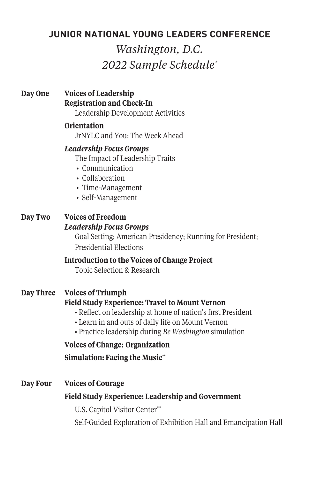# **JUNIOR NATIONAL YOUNG LEADERS CONFERENCE**

# *Washington, D.C. 2022 Sample Schedule\**

#### **Day One Voices of Leadership Registration and Check-In** Leadership Development Activities

## **Orientation**

JrNYLC and You: The Week Ahead

## *Leadership Focus Groups*

The Impact of Leadership Traits

- Communication
- Collaboration
- Time-Management
- Self-Management

# **Day Two Voices of Freedom**  *Leadership Focus Groups*

Goal Setting; American Presidency; Running for President; Presidential Elections

#### **Introduction to the Voices of Change Project**

Topic Selection & Research

# **Day Three Voices of Triumph Field Study Experience: Travel to Mount Vernon**

- Reflect on leadership at home of nation's first President
- Learn in and outs of daily life on Mount Vernon
- Practice leadership during *Be Washington* simulation

# **Voices of Change: Organization**

**Simulation: Facing the Music\*\***

**Day Four Voices of Courage** 

# **Field Study Experience: Leadership and Government**

**U.S. Capitol Visitor Center\*\*\*** 

Self-Guided Exploration of Exhibition Hall and Emancipation Hall